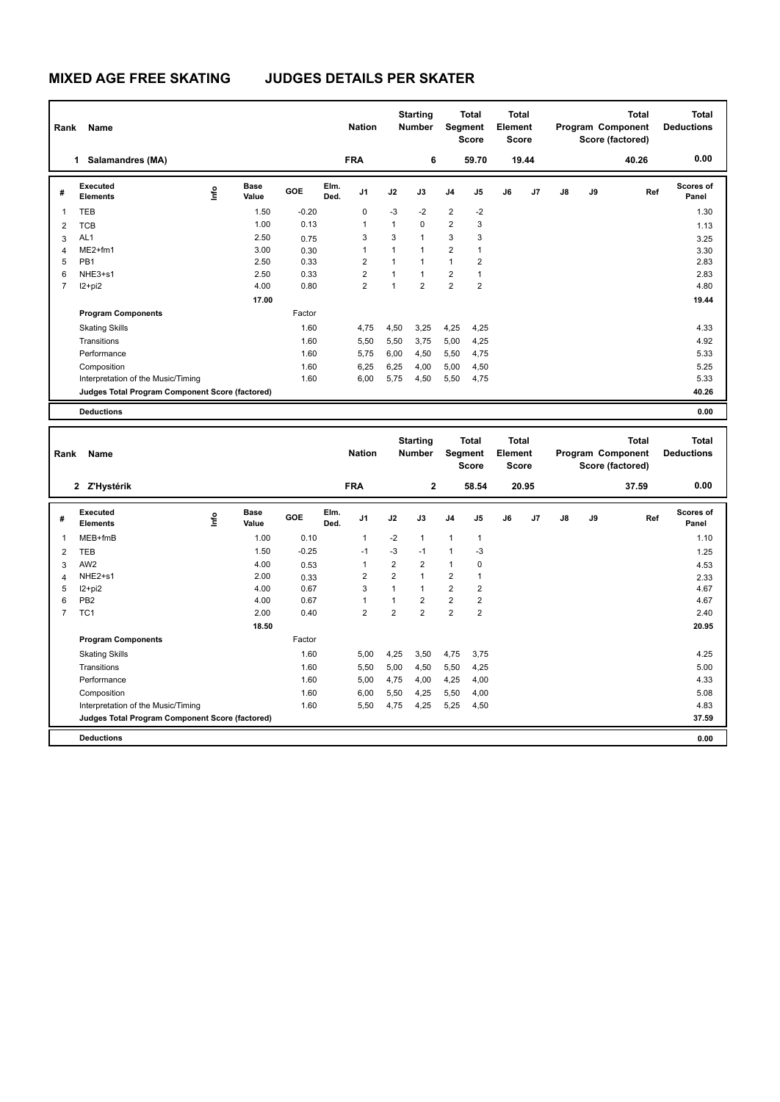| Rank           | Name                                            |      |                      |         |              | <b>Nation</b>  |                | <b>Starting</b><br><b>Number</b> |                         | <b>Total</b><br>Segment<br><b>Score</b> | Total<br>Element<br><b>Score</b> |       |    |    | Total<br>Program Component<br>Score (factored) | Total<br><b>Deductions</b> |
|----------------|-------------------------------------------------|------|----------------------|---------|--------------|----------------|----------------|----------------------------------|-------------------------|-----------------------------------------|----------------------------------|-------|----|----|------------------------------------------------|----------------------------|
|                | Salamandres (MA)<br>1                           |      |                      |         |              | <b>FRA</b>     |                | 6                                |                         | 59.70                                   |                                  | 19.44 |    |    | 40.26                                          | 0.00                       |
| #              | Executed<br><b>Elements</b>                     | lnfo | <b>Base</b><br>Value | GOE     | Elm.<br>Ded. | J1             | J2             | J3                               | J <sub>4</sub>          | J <sub>5</sub>                          | J6                               | J7    | J8 | J9 | Ref                                            | <b>Scores of</b><br>Panel  |
| 1              | <b>TEB</b>                                      |      | 1.50                 | $-0.20$ |              | 0              | $-3$           | $-2$                             | $\overline{2}$          | $-2$                                    |                                  |       |    |    |                                                | 1.30                       |
| 2              | <b>TCB</b>                                      |      | 1.00                 | 0.13    |              | $\overline{1}$ | $\mathbf{1}$   | $\Omega$                         | $\overline{2}$          | 3                                       |                                  |       |    |    |                                                | 1.13                       |
| 3              | AL <sub>1</sub>                                 |      | 2.50                 | 0.75    |              | 3              | 3              | $\overline{1}$                   | 3                       | 3                                       |                                  |       |    |    |                                                | 3.25                       |
| 4              | $ME2+fm1$                                       |      | 3.00                 | 0.30    |              | $\overline{1}$ | 1              | 1                                | $\overline{\mathbf{c}}$ | 1                                       |                                  |       |    |    |                                                | 3.30                       |
| 5              | PB <sub>1</sub>                                 |      | 2.50                 | 0.33    |              | $\overline{2}$ | $\overline{1}$ | $\mathbf{1}$                     | $\mathbf{1}$            | 2                                       |                                  |       |    |    |                                                | 2.83                       |
| 6              | NHE3+s1                                         |      | 2.50                 | 0.33    |              | $\overline{2}$ | 1              | $\mathbf{1}$                     | $\overline{\mathbf{c}}$ | 1                                       |                                  |       |    |    |                                                | 2.83                       |
| $\overline{7}$ | I2+pi2                                          |      | 4.00                 | 0.80    |              | 2              | 1              | $\overline{2}$                   | $\overline{\mathbf{c}}$ | 2                                       |                                  |       |    |    |                                                | 4.80                       |
|                |                                                 |      | 17.00                |         |              |                |                |                                  |                         |                                         |                                  |       |    |    |                                                | 19.44                      |
|                | <b>Program Components</b>                       |      |                      | Factor  |              |                |                |                                  |                         |                                         |                                  |       |    |    |                                                |                            |
|                | <b>Skating Skills</b>                           |      |                      | 1.60    |              | 4,75           | 4,50           | 3,25                             | 4,25                    | 4,25                                    |                                  |       |    |    |                                                | 4.33                       |
|                | Transitions                                     |      |                      | 1.60    |              | 5,50           | 5,50           | 3,75                             | 5,00                    | 4,25                                    |                                  |       |    |    |                                                | 4.92                       |
|                | Performance                                     |      |                      | 1.60    |              | 5.75           | 6,00           | 4,50                             | 5,50                    | 4,75                                    |                                  |       |    |    |                                                | 5.33                       |
|                | Composition                                     |      |                      | 1.60    |              | 6,25           | 6,25           | 4,00                             | 5,00                    | 4,50                                    |                                  |       |    |    |                                                | 5.25                       |
|                | Interpretation of the Music/Timing              |      |                      | 1.60    |              | 6,00           | 5,75           | 4,50                             | 5,50                    | 4,75                                    |                                  |       |    |    |                                                | 5.33                       |
|                | Judges Total Program Component Score (factored) |      |                      |         |              |                |                |                                  |                         |                                         |                                  |       |    |    |                                                | 40.26                      |
|                | <b>Deductions</b>                               |      |                      |         |              |                |                |                                  |                         |                                         |                                  |       |    |    |                                                | 0.00                       |

| Rank           | Name                                            |                                  |                      |            |              | <b>Nation</b>  |                | <b>Starting</b><br><b>Number</b> |                | <b>Total</b><br>Segment<br><b>Score</b> | <b>Total</b><br>Element<br><b>Score</b> |       |    |    | Total<br>Program Component<br>Score (factored) | <b>Total</b><br><b>Deductions</b> |
|----------------|-------------------------------------------------|----------------------------------|----------------------|------------|--------------|----------------|----------------|----------------------------------|----------------|-----------------------------------------|-----------------------------------------|-------|----|----|------------------------------------------------|-----------------------------------|
|                | 2 Z'Hystérik                                    |                                  |                      |            |              | <b>FRA</b>     |                | $\mathbf{2}$                     |                | 58.54                                   |                                         | 20.95 |    |    | 37.59                                          | 0.00                              |
| #              | Executed<br><b>Elements</b>                     | $\mathop{\mathsf{Irr}}\nolimits$ | <b>Base</b><br>Value | <b>GOE</b> | Elm.<br>Ded. | J <sub>1</sub> | J2             | J3                               | J <sub>4</sub> | J <sub>5</sub>                          | J6                                      | J7    | J8 | J9 | Ref                                            | <b>Scores of</b><br>Panel         |
| $\mathbf{1}$   | MEB+fmB                                         |                                  | 1.00                 | 0.10       |              | $\overline{1}$ | $-2$           | $\mathbf{1}$                     | $\mathbf{1}$   | $\overline{1}$                          |                                         |       |    |    |                                                | 1.10                              |
| 2              | TEB                                             |                                  | 1.50                 | $-0.25$    |              | $-1$           | $-3$           | $-1$                             | 1              | -3                                      |                                         |       |    |    |                                                | 1.25                              |
| 3              | AW <sub>2</sub>                                 |                                  | 4.00                 | 0.53       |              | $\overline{1}$ | $\overline{2}$ | $\overline{2}$                   | 1              | 0                                       |                                         |       |    |    |                                                | 4.53                              |
| $\overline{4}$ | NHE2+s1                                         |                                  | 2.00                 | 0.33       |              | $\overline{2}$ | $\overline{2}$ | $\mathbf{1}$                     | $\overline{2}$ | 1                                       |                                         |       |    |    |                                                | 2.33                              |
| 5              | $12+pi2$                                        |                                  | 4.00                 | 0.67       |              | 3              | 1              | $\mathbf{1}$                     | $\overline{2}$ | $\overline{\mathbf{c}}$                 |                                         |       |    |    |                                                | 4.67                              |
| 6              | PB <sub>2</sub>                                 |                                  | 4.00                 | 0.67       |              | 1              |                | $\overline{2}$                   | $\overline{2}$ | 2                                       |                                         |       |    |    |                                                | 4.67                              |
| $\overline{7}$ | TC <sub>1</sub>                                 |                                  | 2.00                 | 0.40       |              | $\overline{2}$ | $\overline{2}$ | $\overline{2}$                   | $\overline{2}$ | 2                                       |                                         |       |    |    |                                                | 2.40                              |
|                |                                                 |                                  | 18.50                |            |              |                |                |                                  |                |                                         |                                         |       |    |    |                                                | 20.95                             |
|                | <b>Program Components</b>                       |                                  |                      | Factor     |              |                |                |                                  |                |                                         |                                         |       |    |    |                                                |                                   |
|                | <b>Skating Skills</b>                           |                                  |                      | 1.60       |              | 5.00           | 4,25           | 3,50                             | 4,75           | 3.75                                    |                                         |       |    |    |                                                | 4.25                              |
|                | Transitions                                     |                                  |                      | 1.60       |              | 5,50           | 5,00           | 4,50                             | 5,50           | 4,25                                    |                                         |       |    |    |                                                | 5.00                              |
|                | Performance                                     |                                  |                      | 1.60       |              | 5,00           | 4,75           | 4,00                             | 4,25           | 4,00                                    |                                         |       |    |    |                                                | 4.33                              |
|                | Composition                                     |                                  |                      | 1.60       |              | 6,00           | 5,50           | 4,25                             | 5,50           | 4,00                                    |                                         |       |    |    |                                                | 5.08                              |
|                | Interpretation of the Music/Timing              |                                  |                      | 1.60       |              | 5,50           | 4,75           | 4,25                             | 5,25           | 4,50                                    |                                         |       |    |    |                                                | 4.83                              |
|                | Judges Total Program Component Score (factored) |                                  |                      |            |              |                |                |                                  |                |                                         |                                         |       |    |    |                                                | 37.59                             |
|                | <b>Deductions</b>                               |                                  |                      |            |              |                |                |                                  |                |                                         |                                         |       |    |    |                                                | 0.00                              |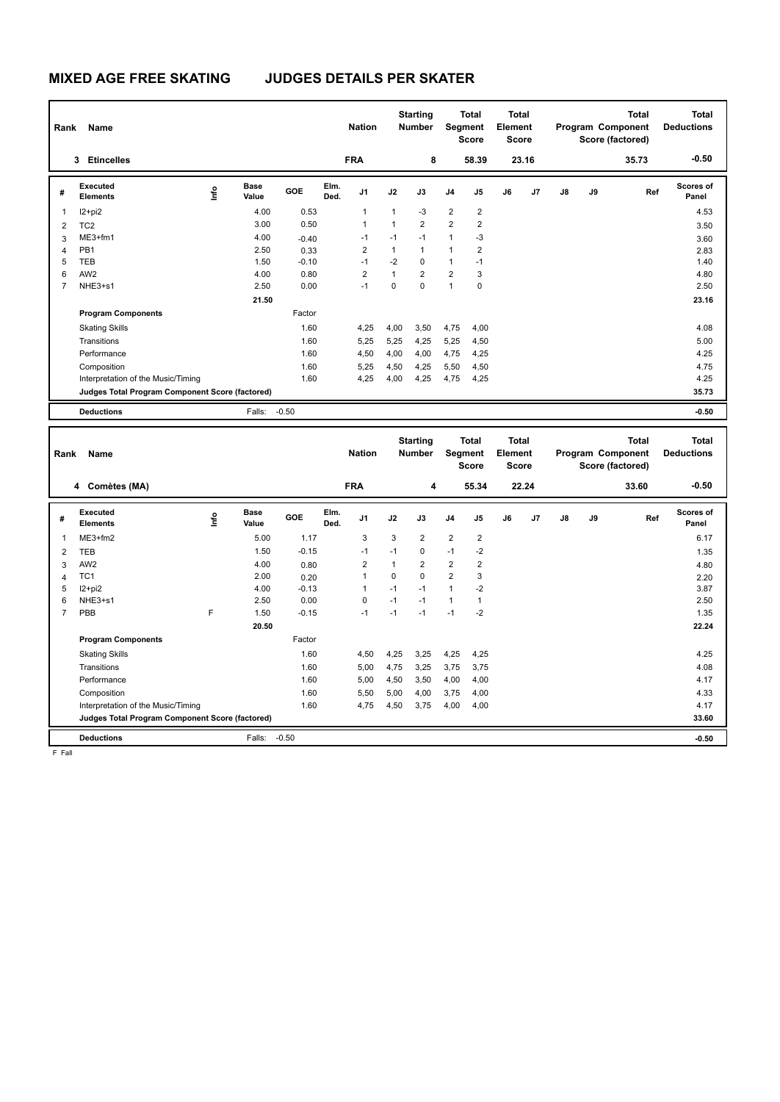| Rank | Name                                            |            |                      |         |              | <b>Nation</b>  |              | <b>Starting</b><br><b>Number</b> |                | <b>Total</b><br>Segment<br><b>Score</b> | Total<br>Element<br><b>Score</b> |       |    |    | <b>Total</b><br>Program Component<br>Score (factored) | <b>Total</b><br><b>Deductions</b> |
|------|-------------------------------------------------|------------|----------------------|---------|--------------|----------------|--------------|----------------------------------|----------------|-----------------------------------------|----------------------------------|-------|----|----|-------------------------------------------------------|-----------------------------------|
|      | <b>Etincelles</b><br>3                          |            |                      |         |              | <b>FRA</b>     |              | 8                                |                | 58.39                                   |                                  | 23.16 |    |    | 35.73                                                 | $-0.50$                           |
| #    | Executed<br><b>Elements</b>                     | <u>f</u> o | <b>Base</b><br>Value | GOE     | Elm.<br>Ded. | J <sub>1</sub> | J2           | J3                               | J <sub>4</sub> | J <sub>5</sub>                          | J6                               | J7    | J8 | J9 | Ref                                                   | Scores of<br>Panel                |
| 1    | I2+pi2                                          |            | 4.00                 | 0.53    |              | $\overline{1}$ | 1            | $-3$                             | $\overline{2}$ | $\overline{2}$                          |                                  |       |    |    |                                                       | 4.53                              |
| 2    | TC <sub>2</sub>                                 |            | 3.00                 | 0.50    |              | $\overline{1}$ | $\mathbf{1}$ | $\overline{2}$                   | $\overline{2}$ | $\overline{2}$                          |                                  |       |    |    |                                                       | 3.50                              |
| 3    | $ME3+fm1$                                       |            | 4.00                 | $-0.40$ |              | $-1$           | $-1$         | $-1$                             | $\mathbf{1}$   | $-3$                                    |                                  |       |    |    |                                                       | 3.60                              |
| 4    | PB <sub>1</sub>                                 |            | 2.50                 | 0.33    |              | $\overline{2}$ | $\mathbf{1}$ | $\mathbf{1}$                     | $\mathbf{1}$   | $\overline{2}$                          |                                  |       |    |    |                                                       | 2.83                              |
| 5    | <b>TEB</b>                                      |            | 1.50                 | $-0.10$ |              | $-1$           | $-2$         | 0                                | $\mathbf{1}$   | $-1$                                    |                                  |       |    |    |                                                       | 1.40                              |
| 6    | AW <sub>2</sub>                                 |            | 4.00                 | 0.80    |              | $\overline{2}$ | 1            | $\overline{2}$                   | $\overline{2}$ | 3                                       |                                  |       |    |    |                                                       | 4.80                              |
|      | NHE3+s1                                         |            | 2.50                 | 0.00    |              | $-1$           | $\Omega$     | $\Omega$                         | 1              | 0                                       |                                  |       |    |    |                                                       | 2.50                              |
|      |                                                 |            | 21.50                |         |              |                |              |                                  |                |                                         |                                  |       |    |    |                                                       | 23.16                             |
|      | <b>Program Components</b>                       |            |                      | Factor  |              |                |              |                                  |                |                                         |                                  |       |    |    |                                                       |                                   |
|      | <b>Skating Skills</b>                           |            |                      | 1.60    |              | 4,25           | 4,00         | 3,50                             | 4,75           | 4,00                                    |                                  |       |    |    |                                                       | 4.08                              |
|      | Transitions                                     |            |                      | 1.60    |              | 5,25           | 5,25         | 4,25                             | 5,25           | 4,50                                    |                                  |       |    |    |                                                       | 5.00                              |
|      | Performance                                     |            |                      | 1.60    |              | 4,50           | 4,00         | 4,00                             | 4,75           | 4,25                                    |                                  |       |    |    |                                                       | 4.25                              |
|      | Composition                                     |            |                      | 1.60    |              | 5,25           | 4,50         | 4,25                             | 5,50           | 4,50                                    |                                  |       |    |    |                                                       | 4.75                              |
|      | Interpretation of the Music/Timing              |            |                      | 1.60    |              | 4,25           | 4,00         | 4,25                             | 4,75           | 4,25                                    |                                  |       |    |    |                                                       | 4.25                              |
|      | Judges Total Program Component Score (factored) |            |                      |         |              |                |              |                                  |                |                                         |                                  |       |    |    |                                                       | 35.73                             |
|      | <b>Deductions</b>                               |            | Falls:               | $-0.50$ |              |                |              |                                  |                |                                         |                                  |       |    |    |                                                       | $-0.50$                           |

| Rank           | Name                                            |             |                      |         |              | <b>Nation</b>  |          | <b>Starting</b><br><b>Number</b> | Segment        | <b>Total</b><br><b>Score</b> | <b>Total</b><br>Element<br><b>Score</b> |       |    |    | <b>Total</b><br>Program Component<br>Score (factored) | <b>Total</b><br><b>Deductions</b> |
|----------------|-------------------------------------------------|-------------|----------------------|---------|--------------|----------------|----------|----------------------------------|----------------|------------------------------|-----------------------------------------|-------|----|----|-------------------------------------------------------|-----------------------------------|
|                | 4 Comètes (MA)                                  |             |                      |         |              | <b>FRA</b>     |          | 4                                |                | 55.34                        |                                         | 22.24 |    |    | 33.60                                                 | $-0.50$                           |
| #              | Executed<br><b>Elements</b>                     | <u>lnfo</u> | <b>Base</b><br>Value | GOE     | Elm.<br>Ded. | J1             | J2       | J3                               | J <sub>4</sub> | J5                           | J6                                      | J7    | J8 | J9 | Ref                                                   | <b>Scores of</b><br>Panel         |
| 1              | ME3+fm2                                         |             | 5.00                 | 1.17    |              | 3              | 3        | $\overline{2}$                   | $\overline{2}$ | $\overline{2}$               |                                         |       |    |    |                                                       | 6.17                              |
| $\overline{2}$ | <b>TEB</b>                                      |             | 1.50                 | $-0.15$ |              | $-1$           | $-1$     | 0                                | $-1$           | $-2$                         |                                         |       |    |    |                                                       | 1.35                              |
| 3              | AW <sub>2</sub>                                 |             | 4.00                 | 0.80    |              | $\overline{2}$ |          | $\overline{2}$                   | $\overline{2}$ | 2                            |                                         |       |    |    |                                                       | 4.80                              |
| $\overline{4}$ | TC <sub>1</sub>                                 |             | 2.00                 | 0.20    |              | 1              | $\Omega$ | 0                                | $\overline{2}$ | 3                            |                                         |       |    |    |                                                       | 2.20                              |
| 5              | I2+pi2                                          |             | 4.00                 | $-0.13$ |              | $\mathbf{1}$   | $-1$     | $-1$                             | $\overline{1}$ | $-2$                         |                                         |       |    |    |                                                       | 3.87                              |
| 6              | NHE3+s1                                         |             | 2.50                 | 0.00    |              | $\mathbf 0$    | $-1$     | $-1$                             | $\mathbf{1}$   |                              |                                         |       |    |    |                                                       | 2.50                              |
| $\overline{7}$ | PBB                                             | F           | 1.50                 | $-0.15$ |              | $-1$           | $-1$     | $-1$                             | $-1$           | $-2$                         |                                         |       |    |    |                                                       | 1.35                              |
|                |                                                 |             | 20.50                |         |              |                |          |                                  |                |                              |                                         |       |    |    |                                                       | 22.24                             |
|                | <b>Program Components</b>                       |             |                      | Factor  |              |                |          |                                  |                |                              |                                         |       |    |    |                                                       |                                   |
|                | <b>Skating Skills</b>                           |             |                      | 1.60    |              | 4,50           | 4,25     | 3.25                             | 4,25           | 4,25                         |                                         |       |    |    |                                                       | 4.25                              |
|                | Transitions                                     |             |                      | 1.60    |              | 5,00           | 4,75     | 3,25                             | 3,75           | 3,75                         |                                         |       |    |    |                                                       | 4.08                              |
|                | Performance                                     |             |                      | 1.60    |              | 5,00           | 4,50     | 3,50                             | 4,00           | 4,00                         |                                         |       |    |    |                                                       | 4.17                              |
|                | Composition                                     |             |                      | 1.60    |              | 5,50           | 5,00     | 4,00                             | 3,75           | 4,00                         |                                         |       |    |    |                                                       | 4.33                              |
|                | Interpretation of the Music/Timing              |             |                      | 1.60    |              | 4,75           | 4,50     | 3,75                             | 4,00           | 4,00                         |                                         |       |    |    |                                                       | 4.17                              |
|                | Judges Total Program Component Score (factored) |             |                      |         |              |                |          |                                  |                |                              |                                         |       |    |    |                                                       | 33.60                             |
|                | <b>Deductions</b>                               |             | Falls:               | $-0.50$ |              |                |          |                                  |                |                              |                                         |       |    |    |                                                       | $-0.50$                           |

F Fall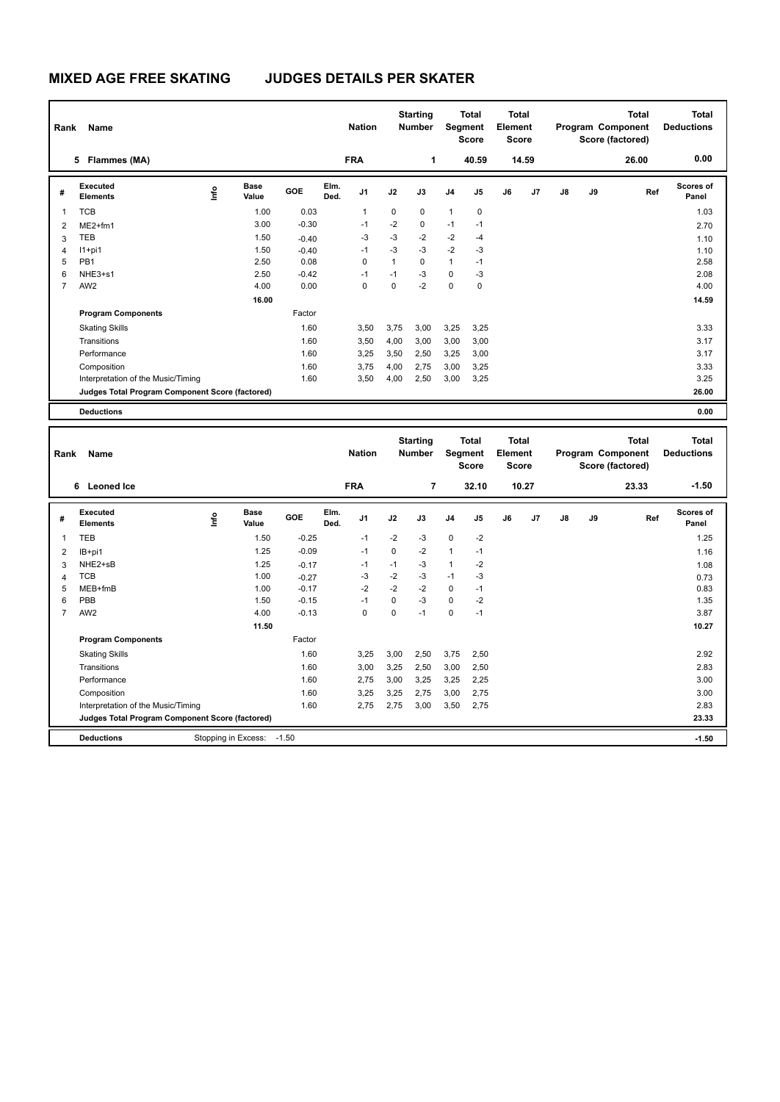| Rank           | Name                                            |      |                      |            |              | <b>Nation</b>  |              | <b>Starting</b><br><b>Number</b> |                | <b>Total</b><br>Segment<br><b>Score</b> | <b>Total</b><br>Element<br><b>Score</b> |       |               |    | <b>Total</b><br>Program Component<br>Score (factored) | Total<br><b>Deductions</b> |
|----------------|-------------------------------------------------|------|----------------------|------------|--------------|----------------|--------------|----------------------------------|----------------|-----------------------------------------|-----------------------------------------|-------|---------------|----|-------------------------------------------------------|----------------------------|
|                | Flammes (MA)<br>5                               |      |                      |            |              | <b>FRA</b>     |              | 1                                |                | 40.59                                   |                                         | 14.59 |               |    | 26.00                                                 | 0.00                       |
| #              | Executed<br><b>Elements</b>                     | lnfo | <b>Base</b><br>Value | <b>GOE</b> | Elm.<br>Ded. | J1             | J2           | J3                               | J <sub>4</sub> | J5                                      | J6                                      | J7    | $\mathsf{J}8$ | J9 | Ref                                                   | <b>Scores of</b><br>Panel  |
| 1              | <b>TCB</b>                                      |      | 1.00                 | 0.03       |              | $\overline{1}$ | 0            | 0                                | $\mathbf{1}$   | $\mathbf 0$                             |                                         |       |               |    |                                                       | 1.03                       |
| 2              | $ME2+fm1$                                       |      | 3.00                 | $-0.30$    |              | $-1$           | $-2$         | 0                                | $-1$           | $-1$                                    |                                         |       |               |    |                                                       | 2.70                       |
| 3              | TEB                                             |      | 1.50                 | $-0.40$    |              | -3             | $-3$         | $-2$                             | $-2$           | $-4$                                    |                                         |       |               |    |                                                       | 1.10                       |
| 4              | $11+pi1$                                        |      | 1.50                 | $-0.40$    |              | $-1$           | $-3$         | $-3$                             | $-2$           | $-3$                                    |                                         |       |               |    |                                                       | 1.10                       |
| 5              | PB <sub>1</sub>                                 |      | 2.50                 | 0.08       |              | $\mathbf 0$    | $\mathbf{1}$ | $\Omega$                         | $\mathbf{1}$   | $-1$                                    |                                         |       |               |    |                                                       | 2.58                       |
| 6              | NHE3+s1                                         |      | 2.50                 | $-0.42$    |              | $-1$           | $-1$         | $-3$                             | $\mathbf 0$    | $-3$                                    |                                         |       |               |    |                                                       | 2.08                       |
| $\overline{7}$ | AW <sub>2</sub>                                 |      | 4.00                 | 0.00       |              | 0              | 0            | $-2$                             | $\mathbf 0$    | 0                                       |                                         |       |               |    |                                                       | 4.00                       |
|                |                                                 |      | 16.00                |            |              |                |              |                                  |                |                                         |                                         |       |               |    |                                                       | 14.59                      |
|                | <b>Program Components</b>                       |      |                      | Factor     |              |                |              |                                  |                |                                         |                                         |       |               |    |                                                       |                            |
|                | <b>Skating Skills</b>                           |      |                      | 1.60       |              | 3,50           | 3,75         | 3,00                             | 3,25           | 3,25                                    |                                         |       |               |    |                                                       | 3.33                       |
|                | Transitions                                     |      |                      | 1.60       |              | 3,50           | 4,00         | 3,00                             | 3,00           | 3,00                                    |                                         |       |               |    |                                                       | 3.17                       |
|                | Performance                                     |      |                      | 1.60       |              | 3,25           | 3,50         | 2,50                             | 3,25           | 3,00                                    |                                         |       |               |    |                                                       | 3.17                       |
|                | Composition                                     |      |                      | 1.60       |              | 3.75           | 4,00         | 2.75                             | 3,00           | 3,25                                    |                                         |       |               |    |                                                       | 3.33                       |
|                | Interpretation of the Music/Timing              |      |                      | 1.60       |              | 3,50           | 4,00         | 2,50                             | 3,00           | 3,25                                    |                                         |       |               |    |                                                       | 3.25                       |
|                | Judges Total Program Component Score (factored) |      |                      |            |              |                |              |                                  |                |                                         |                                         |       |               |    |                                                       | 26.00                      |
|                | <b>Deductions</b>                               |      |                      |            |              |                |              |                                  |                |                                         |                                         |       |               |    |                                                       | 0.00                       |

| Rank           | Name                                            |                     |                      |         |              | <b>Nation</b>  |      | <b>Starting</b><br><b>Number</b> |                | <b>Total</b><br>Segment<br><b>Score</b> | <b>Total</b><br>Element<br><b>Score</b> |                |               |    | <b>Total</b><br>Program Component<br>Score (factored) | <b>Total</b><br><b>Deductions</b> |
|----------------|-------------------------------------------------|---------------------|----------------------|---------|--------------|----------------|------|----------------------------------|----------------|-----------------------------------------|-----------------------------------------|----------------|---------------|----|-------------------------------------------------------|-----------------------------------|
|                | <b>Leoned Ice</b><br>6                          |                     |                      |         |              | <b>FRA</b>     |      | 7                                |                | 32.10                                   |                                         | 10.27          |               |    | 23.33                                                 | $-1.50$                           |
| #              | Executed<br><b>Elements</b>                     | ١nf٥                | <b>Base</b><br>Value | GOE     | Elm.<br>Ded. | J <sub>1</sub> | J2   | J3                               | J <sub>4</sub> | J <sub>5</sub>                          | J6                                      | J <sub>7</sub> | $\mathsf{J}8$ | J9 | Ref                                                   | <b>Scores of</b><br>Panel         |
| $\mathbf 1$    | <b>TEB</b>                                      |                     | 1.50                 | $-0.25$ |              | $-1$           | $-2$ | $-3$                             | $\mathbf 0$    | $-2$                                    |                                         |                |               |    |                                                       | 1.25                              |
| $\overline{2}$ | IB+pi1                                          |                     | 1.25                 | $-0.09$ |              | $-1$           | 0    | $-2$                             | $\mathbf{1}$   | $-1$                                    |                                         |                |               |    |                                                       | 1.16                              |
| 3              | NHE2+sB                                         |                     | 1.25                 | $-0.17$ |              | $-1$           | $-1$ | $-3$                             | 1              | $-2$                                    |                                         |                |               |    |                                                       | 1.08                              |
| $\overline{4}$ | <b>TCB</b>                                      |                     | 1.00                 | $-0.27$ |              | -3             | $-2$ | $-3$                             | $-1$           | -3                                      |                                         |                |               |    |                                                       | 0.73                              |
| 5              | MEB+fmB                                         |                     | 1.00                 | $-0.17$ |              | $-2$           | $-2$ | $-2$                             | 0              | $-1$                                    |                                         |                |               |    |                                                       | 0.83                              |
| 6              | PBB                                             |                     | 1.50                 | $-0.15$ |              | $-1$           | 0    | $-3$                             | $\mathbf 0$    | $-2$                                    |                                         |                |               |    |                                                       | 1.35                              |
| $\overline{7}$ | AW <sub>2</sub>                                 |                     | 4.00                 | $-0.13$ |              | 0              | 0    | $-1$                             | 0              | $-1$                                    |                                         |                |               |    |                                                       | 3.87                              |
|                |                                                 |                     | 11.50                |         |              |                |      |                                  |                |                                         |                                         |                |               |    |                                                       | 10.27                             |
|                | <b>Program Components</b>                       |                     |                      | Factor  |              |                |      |                                  |                |                                         |                                         |                |               |    |                                                       |                                   |
|                | <b>Skating Skills</b>                           |                     |                      | 1.60    |              | 3.25           | 3,00 | 2.50                             | 3,75           | 2,50                                    |                                         |                |               |    |                                                       | 2.92                              |
|                | Transitions                                     |                     |                      | 1.60    |              | 3,00           | 3,25 | 2,50                             | 3,00           | 2,50                                    |                                         |                |               |    |                                                       | 2.83                              |
|                | Performance                                     |                     |                      | 1.60    |              | 2.75           | 3,00 | 3,25                             | 3,25           | 2,25                                    |                                         |                |               |    |                                                       | 3.00                              |
|                | Composition                                     |                     |                      | 1.60    |              | 3,25           | 3,25 | 2,75                             | 3,00           | 2,75                                    |                                         |                |               |    |                                                       | 3.00                              |
|                | Interpretation of the Music/Timing              |                     |                      | 1.60    |              | 2,75           | 2,75 | 3,00                             | 3,50           | 2,75                                    |                                         |                |               |    |                                                       | 2.83                              |
|                | Judges Total Program Component Score (factored) |                     |                      |         |              |                |      |                                  |                |                                         |                                         |                |               |    |                                                       | 23.33                             |
|                | <b>Deductions</b>                               | Stopping in Excess: |                      | $-1.50$ |              |                |      |                                  |                |                                         |                                         |                |               |    |                                                       | $-1.50$                           |